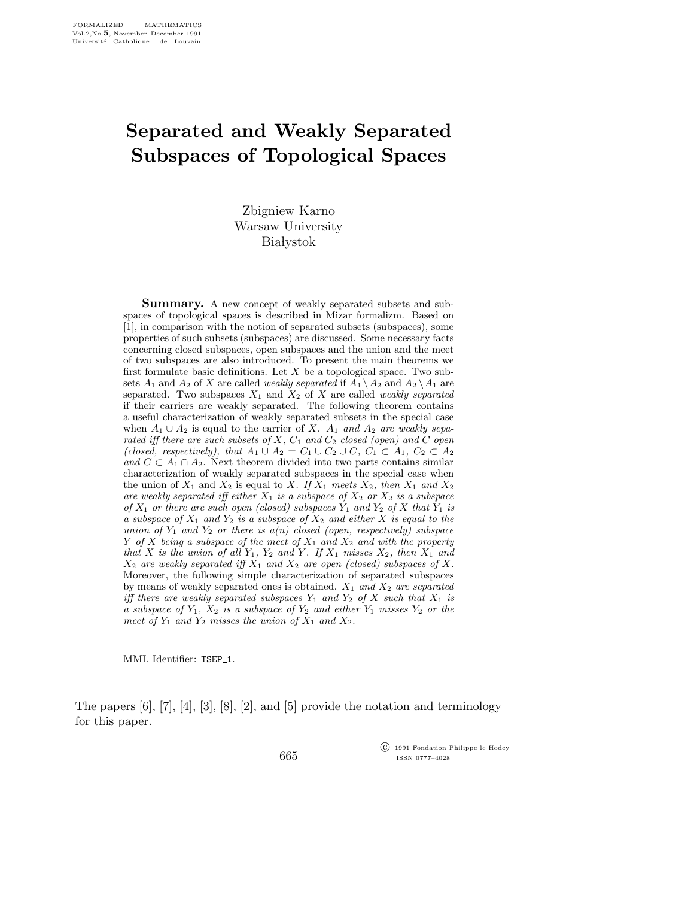## Separated and Weakly Separated Subspaces of Topological Spaces

Zbigniew Karno Warsaw University **Białystok** 

**Summary.** A new concept of weakly separated subsets and subspaces of topological spaces is described in Mizar formalizm. Based on [1], in comparison with the notion of separated subsets (subspaces), some properties of such subsets (subspaces) are discussed. Some necessary facts concerning closed subspaces, open subspaces and the union and the meet of two subspaces are also introduced. To present the main theorems we first formulate basic definitions. Let  $X$  be a topological space. Two subsets  $A_1$  and  $A_2$  of X are called *weakly separated* if  $A_1 \setminus A_2$  and  $A_2 \setminus A_1$  are separated. Two subspaces  $X_1$  and  $X_2$  of X are called weakly separated if their carriers are weakly separated. The following theorem contains a useful characterization of weakly separated subsets in the special case when  $A_1 \cup A_2$  is equal to the carrier of X.  $A_1$  and  $A_2$  are weakly separated iff there are such subsets of X,  $C_1$  and  $C_2$  closed (open) and C open (closed, respectively), that  $A_1 \cup A_2 = C_1 \cup C_2 \cup C$ ,  $C_1 \subset A_1$ ,  $C_2 \subset A_2$ and  $C \subset A_1 \cap A_2$ . Next theorem divided into two parts contains similar characterization of weakly separated subspaces in the special case when the union of  $X_1$  and  $X_2$  is equal to X. If  $X_1$  meets  $X_2$ , then  $X_1$  and  $X_2$ are weakly separated iff either  $X_1$  is a subspace of  $X_2$  or  $X_2$  is a subspace of  $X_1$  or there are such open (closed) subspaces  $Y_1$  and  $Y_2$  of X that  $Y_1$  is a subspace of  $X_1$  and  $Y_2$  is a subspace of  $X_2$  and either X is equal to the union of  $Y_1$  and  $Y_2$  or there is  $a(n)$  closed (open, respectively) subspace Y of X being a subspace of the meet of  $X_1$  and  $X_2$  and with the property that X is the union of all  $Y_1$ ,  $Y_2$  and Y. If  $X_1$  misses  $X_2$ , then  $X_1$  and  $X_2$  are weakly separated iff  $X_1$  and  $X_2$  are open (closed) subspaces of X. Moreover, the following simple characterization of separated subspaces by means of weakly separated ones is obtained.  $X_1$  and  $X_2$  are separated iff there are weakly separated subspaces  $Y_1$  and  $Y_2$  of X such that  $X_1$  is a subspace of  $Y_1$ ,  $X_2$  is a subspace of  $Y_2$  and either  $Y_1$  misses  $Y_2$  or the meet of  $Y_1$  and  $Y_2$  misses the union of  $X_1$  and  $X_2$ .

MML Identifier: TSEP\_1.

The papers [6], [7], [4], [3], [8], [2], and [5] provide the notation and terminology for this paper.

665

 c 1991 Fondation Philippe le Hodey ISSN 0777–4028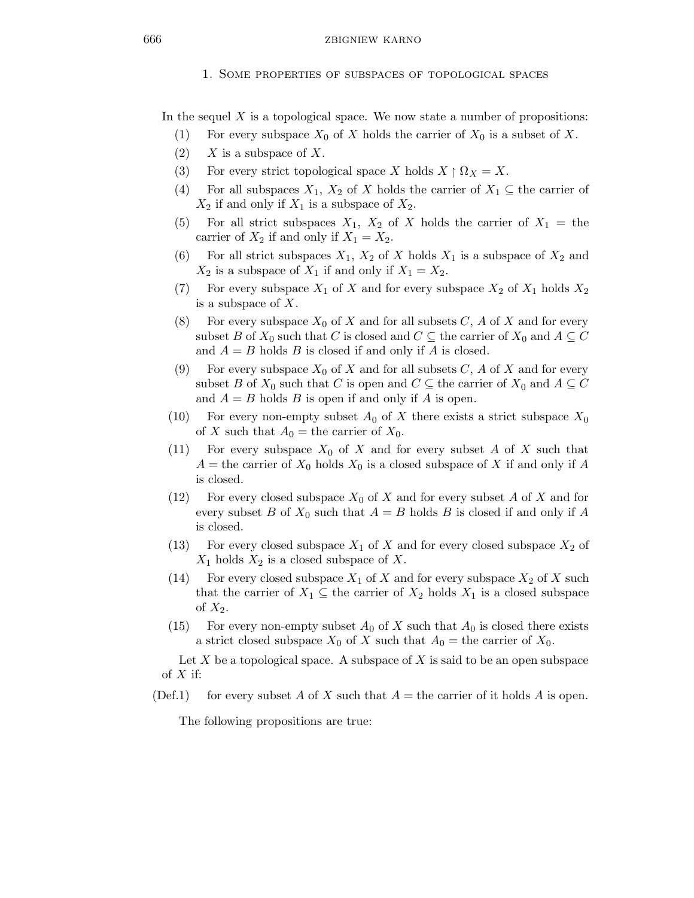In the sequel  $X$  is a topological space. We now state a number of propositions:

- (1) For every subspace  $X_0$  of X holds the carrier of  $X_0$  is a subset of X.
- $(2)$  X is a subspace of X.
- (3) For every strict topological space X holds  $X \upharpoonright \Omega_X = X$ .
- (4) For all subspaces  $X_1, X_2$  of X holds the carrier of  $X_1 \subseteq$  the carrier of  $X_2$  if and only if  $X_1$  is a subspace of  $X_2$ .
- (5) For all strict subspaces  $X_1$ ,  $X_2$  of X holds the carrier of  $X_1 =$  the carrier of  $X_2$  if and only if  $X_1 = X_2$ .
- (6) For all strict subspaces  $X_1$ ,  $X_2$  of X holds  $X_1$  is a subspace of  $X_2$  and  $X_2$  is a subspace of  $X_1$  if and only if  $X_1 = X_2$ .
- (7) For every subspace  $X_1$  of X and for every subspace  $X_2$  of  $X_1$  holds  $X_2$ is a subspace of X.
- (8) For every subspace  $X_0$  of X and for all subsets C, A of X and for every subset B of  $X_0$  such that C is closed and  $C \subseteq$  the carrier of  $X_0$  and  $A \subseteq C$ and  $A = B$  holds B is closed if and only if A is closed.
- (9) For every subspace  $X_0$  of X and for all subsets C, A of X and for every subset B of  $X_0$  such that C is open and  $C \subseteq$  the carrier of  $X_0$  and  $A \subseteq C$ and  $A = B$  holds B is open if and only if A is open.
- (10) For every non-empty subset  $A_0$  of X there exists a strict subspace  $X_0$ of X such that  $A_0$  = the carrier of  $X_0$ .
- (11) For every subspace  $X_0$  of X and for every subset A of X such that  $A =$  the carrier of  $X_0$  holds  $X_0$  is a closed subspace of X if and only if A is closed.
- (12) For every closed subspace  $X_0$  of X and for every subset A of X and for every subset B of  $X_0$  such that  $A = B$  holds B is closed if and only if A is closed.
- (13) For every closed subspace  $X_1$  of X and for every closed subspace  $X_2$  of  $X_1$  holds  $X_2$  is a closed subspace of X.
- (14) For every closed subspace  $X_1$  of X and for every subspace  $X_2$  of X such that the carrier of  $X_1 \subseteq$  the carrier of  $X_2$  holds  $X_1$  is a closed subspace of  $X_2$ .
- (15) For every non-empty subset  $A_0$  of X such that  $A_0$  is closed there exists a strict closed subspace  $X_0$  of X such that  $A_0$  = the carrier of  $X_0$ .

Let  $X$  be a topological space. A subspace of  $X$  is said to be an open subspace of  $X$  if:

(Def.1) for every subset A of X such that  $A =$  the carrier of it holds A is open.

The following propositions are true: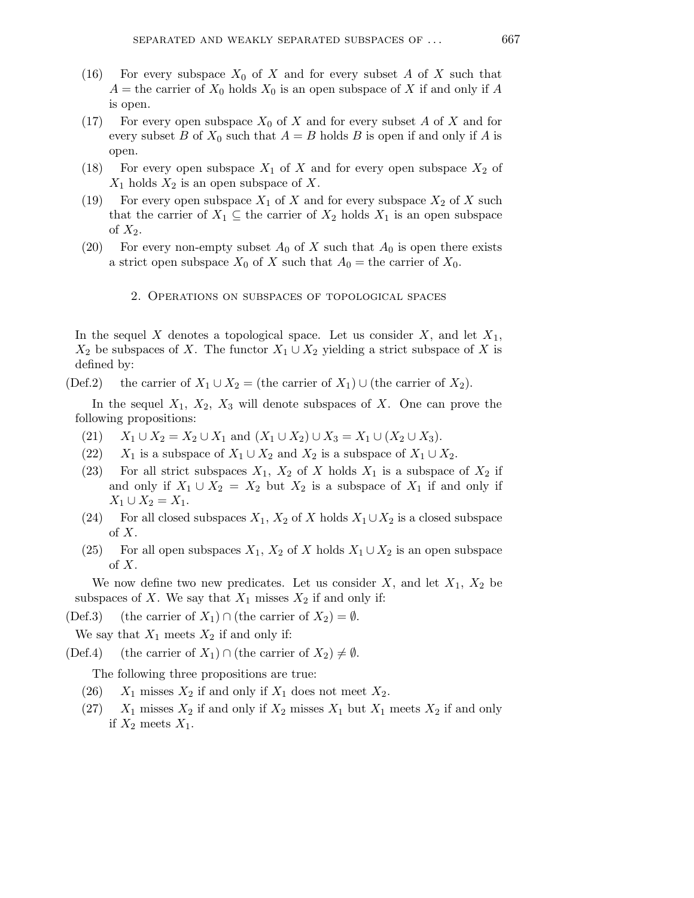- (16) For every subspace  $X_0$  of X and for every subset A of X such that  $A =$  the carrier of  $X_0$  holds  $X_0$  is an open subspace of X if and only if A is open.
- (17) For every open subspace  $X_0$  of X and for every subset A of X and for every subset B of  $X_0$  such that  $A = B$  holds B is open if and only if A is open.
- (18) For every open subspace  $X_1$  of X and for every open subspace  $X_2$  of  $X_1$  holds  $X_2$  is an open subspace of X.
- (19) For every open subspace  $X_1$  of X and for every subspace  $X_2$  of X such that the carrier of  $X_1 \subseteq$  the carrier of  $X_2$  holds  $X_1$  is an open subspace of  $X_2$ .
- (20) For every non-empty subset  $A_0$  of X such that  $A_0$  is open there exists a strict open subspace  $X_0$  of X such that  $A_0$  = the carrier of  $X_0$ .
	- 2. Operations on subspaces of topological spaces

In the sequel X denotes a topological space. Let us consider  $X$ , and let  $X_1$ ,  $X_2$  be subspaces of X. The functor  $X_1 \cup X_2$  yielding a strict subspace of X is defined by:

(Def.2) the carrier of  $X_1 \cup X_2 =$  (the carrier of  $X_1$ ) ∪ (the carrier of  $X_2$ ).

In the sequel  $X_1$ ,  $X_2$ ,  $X_3$  will denote subspaces of X. One can prove the following propositions:

- (21)  $X_1 \cup X_2 = X_2 \cup X_1$  and  $(X_1 \cup X_2) \cup X_3 = X_1 \cup (X_2 \cup X_3)$ .
- (22)  $X_1$  is a subspace of  $X_1 \cup X_2$  and  $X_2$  is a subspace of  $X_1 \cup X_2$ .
- (23) For all strict subspaces  $X_1$ ,  $X_2$  of X holds  $X_1$  is a subspace of  $X_2$  if and only if  $X_1 \cup X_2 = X_2$  but  $X_2$  is a subspace of  $X_1$  if and only if  $X_1 \cup X_2 = X_1.$
- (24) For all closed subspaces  $X_1, X_2$  of X holds  $X_1 \cup X_2$  is a closed subspace  $\mathrm{of}\ X.$
- (25) For all open subspaces  $X_1, X_2$  of X holds  $X_1 \cup X_2$  is an open subspace of  $X$ .

We now define two new predicates. Let us consider  $X$ , and let  $X_1$ ,  $X_2$  be subspaces of X. We say that  $X_1$  misses  $X_2$  if and only if:

(Def.3) (the carrier of  $X_1$ ) ∩ (the carrier of  $X_2$ ) =  $\emptyset$ .

We say that  $X_1$  meets  $X_2$  if and only if:

(Def.4) (the carrier of  $X_1$ ) ∩ (the carrier of  $X_2$ )  $\neq \emptyset$ .

The following three propositions are true:

- (26)  $X_1$  misses  $X_2$  if and only if  $X_1$  does not meet  $X_2$ .
- (27)  $X_1$  misses  $X_2$  if and only if  $X_2$  misses  $X_1$  but  $X_1$  meets  $X_2$  if and only if  $X_2$  meets  $X_1$ .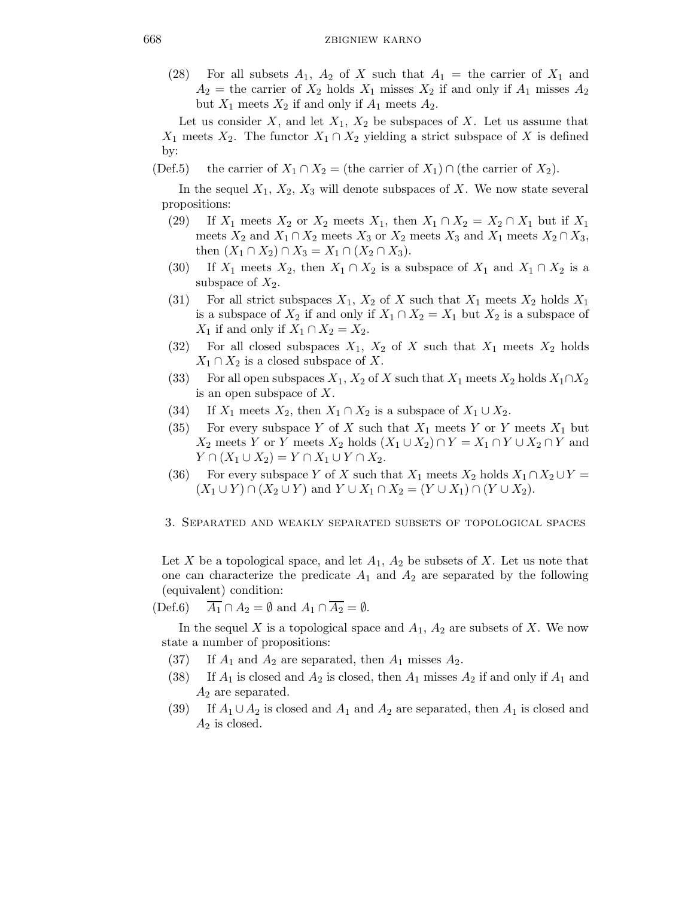(28) For all subsets  $A_1$ ,  $A_2$  of X such that  $A_1$  = the carrier of  $X_1$  and  $A_2$  = the carrier of  $X_2$  holds  $X_1$  misses  $X_2$  if and only if  $A_1$  misses  $A_2$ but  $X_1$  meets  $X_2$  if and only if  $A_1$  meets  $A_2$ .

Let us consider X, and let  $X_1, X_2$  be subspaces of X. Let us assume that  $X_1$  meets  $X_2$ . The functor  $X_1 \cap X_2$  yielding a strict subspace of X is defined by:

(Def.5) the carrier of  $X_1 \cap X_2 =$  (the carrier of  $X_1 \cap X_2 =$ ).

In the sequel  $X_1, X_2, X_3$  will denote subspaces of X. We now state several propositions:

- (29) If  $X_1$  meets  $X_2$  or  $X_2$  meets  $X_1$ , then  $X_1 \cap X_2 = X_2 \cap X_1$  but if  $X_1$ meets  $X_2$  and  $X_1 \cap X_2$  meets  $X_3$  or  $X_2$  meets  $X_3$  and  $X_1$  meets  $X_2 \cap X_3$ , then  $(X_1 \cap X_2) \cap X_3 = X_1 \cap (X_2 \cap X_3)$ .
- (30) If  $X_1$  meets  $X_2$ , then  $X_1 \cap X_2$  is a subspace of  $X_1$  and  $X_1 \cap X_2$  is a subspace of  $X_2$ .
- (31) For all strict subspaces  $X_1$ ,  $X_2$  of X such that  $X_1$  meets  $X_2$  holds  $X_1$ is a subspace of  $X_2$  if and only if  $X_1 \cap X_2 = X_1$  but  $X_2$  is a subspace of  $X_1$  if and only if  $X_1 \cap X_2 = X_2$ .
- (32) For all closed subspaces  $X_1$ ,  $X_2$  of X such that  $X_1$  meets  $X_2$  holds  $X_1 \cap X_2$  is a closed subspace of X.
- (33) For all open subspaces  $X_1, X_2$  of X such that  $X_1$  meets  $X_2$  holds  $X_1 \cap X_2$ is an open subspace of X.
- (34) If  $X_1$  meets  $X_2$ , then  $X_1 \cap X_2$  is a subspace of  $X_1 \cup X_2$ .
- (35) For every subspace Y of X such that  $X_1$  meets Y or Y meets  $X_1$  but  $X_2$  meets Y or Y meets  $X_2$  holds  $(X_1 \cup X_2) \cap Y = X_1 \cap Y \cup X_2 \cap Y$  and  $Y \cap (X_1 \cup X_2) = Y \cap X_1 \cup Y \cap X_2.$
- (36) For every subspace Y of X such that  $X_1$  meets  $X_2$  holds  $X_1 \cap X_2 \cup Y =$  $(X_1 \cup Y) \cap (X_2 \cup Y)$  and  $Y \cup X_1 \cap X_2 = (Y \cup X_1) \cap (Y \cup X_2)$ .
- 3. Separated and weakly separated subsets of topological spaces

Let X be a topological space, and let  $A_1$ ,  $A_2$  be subsets of X. Let us note that one can characterize the predicate  $A_1$  and  $A_2$  are separated by the following (equivalent) condition:

(Def.6)  $\overline{A_1} \cap A_2 = \emptyset$  and  $A_1 \cap \overline{A_2} = \emptyset$ .

In the sequel X is a topological space and  $A_1$ ,  $A_2$  are subsets of X. We now state a number of propositions:

- (37) If  $A_1$  and  $A_2$  are separated, then  $A_1$  misses  $A_2$ .
- (38) If  $A_1$  is closed and  $A_2$  is closed, then  $A_1$  misses  $A_2$  if and only if  $A_1$  and  $A_2$  are separated.
- (39) If  $A_1 \cup A_2$  is closed and  $A_1$  and  $A_2$  are separated, then  $A_1$  is closed and  $A_2$  is closed.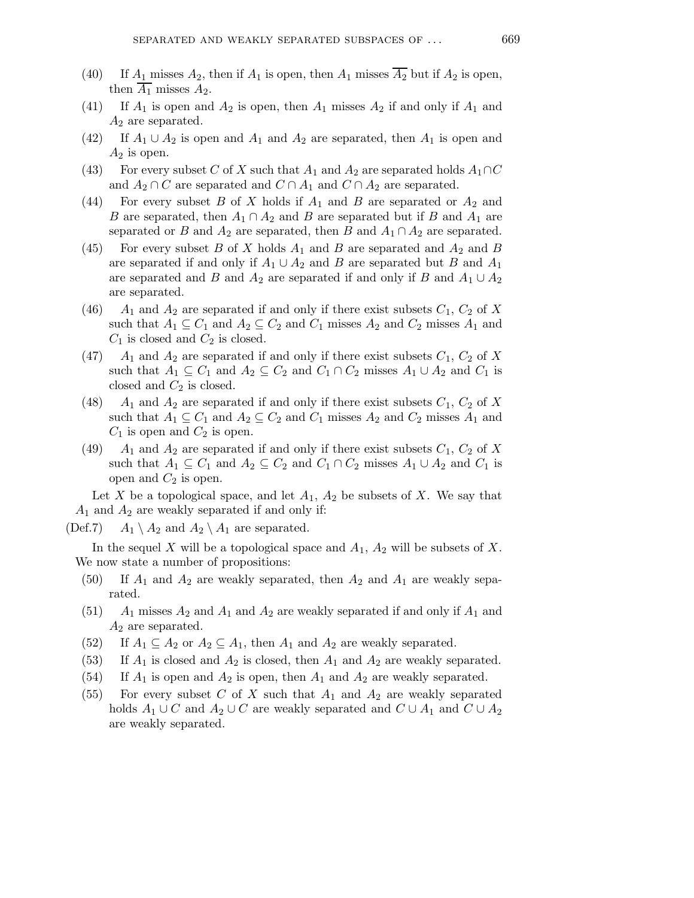- (40) If  $A_1$  misses  $A_2$ , then if  $A_1$  is open, then  $A_1$  misses  $\overline{A_2}$  but if  $A_2$  is open, then  $A_1$  misses  $A_2$ .
- (41) If  $A_1$  is open and  $A_2$  is open, then  $A_1$  misses  $A_2$  if and only if  $A_1$  and  $A_2$  are separated.
- (42) If  $A_1 \cup A_2$  is open and  $A_1$  and  $A_2$  are separated, then  $A_1$  is open and  $A_2$  is open.
- (43) For every subset C of X such that  $A_1$  and  $A_2$  are separated holds  $A_1 \cap C$ and  $A_2 \cap C$  are separated and  $C \cap A_1$  and  $C \cap A_2$  are separated.
- (44) For every subset B of X holds if  $A_1$  and B are separated or  $A_2$  and B are separated, then  $A_1 \cap A_2$  and B are separated but if B and  $A_1$  are separated or B and  $A_2$  are separated, then B and  $A_1 \cap A_2$  are separated.
- (45) For every subset B of X holds  $A_1$  and B are separated and  $A_2$  and B are separated if and only if  $A_1 \cup A_2$  and B are separated but B and  $A_1$ are separated and B and  $A_2$  are separated if and only if B and  $A_1 \cup A_2$ are separated.
- (46)  $A_1$  and  $A_2$  are separated if and only if there exist subsets  $C_1$ ,  $C_2$  of X such that  $A_1 \subseteq C_1$  and  $A_2 \subseteq C_2$  and  $C_1$  misses  $A_2$  and  $C_2$  misses  $A_1$  and  $C_1$  is closed and  $C_2$  is closed.
- (47)  $A_1$  and  $A_2$  are separated if and only if there exist subsets  $C_1$ ,  $C_2$  of X such that  $A_1 \subseteq C_1$  and  $A_2 \subseteq C_2$  and  $C_1 \cap C_2$  misses  $A_1 \cup A_2$  and  $C_1$  is closed and  $C_2$  is closed.
- (48)  $A_1$  and  $A_2$  are separated if and only if there exist subsets  $C_1$ ,  $C_2$  of X such that  $A_1 \subseteq C_1$  and  $A_2 \subseteq C_2$  and  $C_1$  misses  $A_2$  and  $C_2$  misses  $A_1$  and  $C_1$  is open and  $C_2$  is open.
- (49)  $A_1$  and  $A_2$  are separated if and only if there exist subsets  $C_1$ ,  $C_2$  of X such that  $A_1 \subseteq C_1$  and  $A_2 \subseteq C_2$  and  $C_1 \cap C_2$  misses  $A_1 \cup A_2$  and  $C_1$  is open and  $C_2$  is open.

Let X be a topological space, and let  $A_1$ ,  $A_2$  be subsets of X. We say that  $A_1$  and  $A_2$  are weakly separated if and only if:

(Def.7)  $A_1 \setminus A_2$  and  $A_2 \setminus A_1$  are separated.

In the sequel X will be a topological space and  $A_1$ ,  $A_2$  will be subsets of X. We now state a number of propositions:

- (50) If  $A_1$  and  $A_2$  are weakly separated, then  $A_2$  and  $A_1$  are weakly separated.
- $(51)$  A<sub>1</sub> misses  $A_2$  and  $A_1$  and  $A_2$  are weakly separated if and only if  $A_1$  and  $A_2$  are separated.
- (52) If  $A_1 \subseteq A_2$  or  $A_2 \subseteq A_1$ , then  $A_1$  and  $A_2$  are weakly separated.
- (53) If  $A_1$  is closed and  $A_2$  is closed, then  $A_1$  and  $A_2$  are weakly separated.
- (54) If  $A_1$  is open and  $A_2$  is open, then  $A_1$  and  $A_2$  are weakly separated.
- (55) For every subset C of X such that  $A_1$  and  $A_2$  are weakly separated holds  $A_1 \cup C$  and  $A_2 \cup C$  are weakly separated and  $C \cup A_1$  and  $C \cup A_2$ are weakly separated.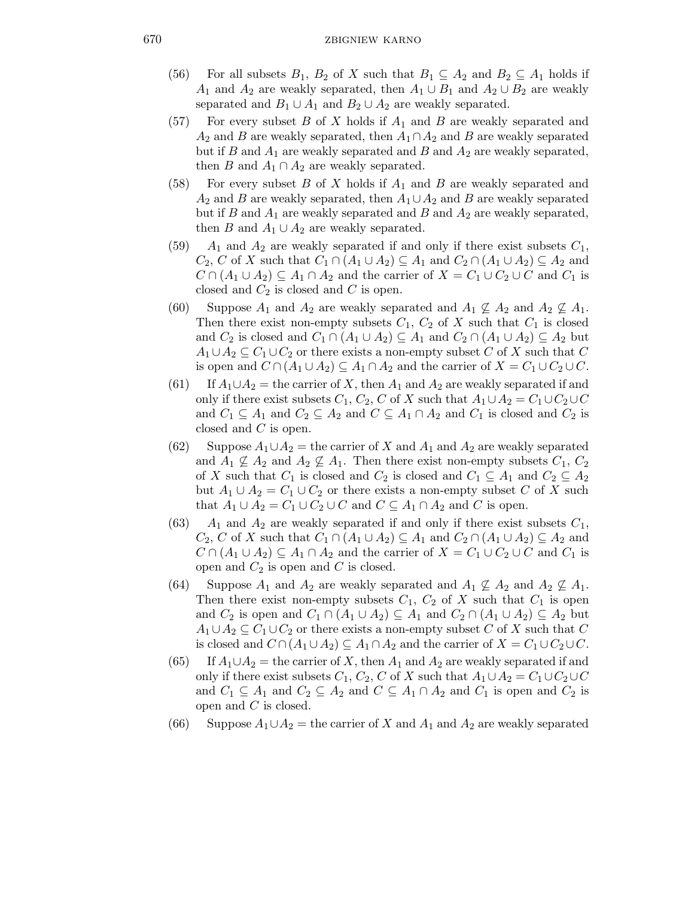- (56) For all subsets  $B_1, B_2$  of X such that  $B_1 \subseteq A_2$  and  $B_2 \subseteq A_1$  holds if  $A_1$  and  $A_2$  are weakly separated, then  $A_1 \cup B_1$  and  $A_2 \cup B_2$  are weakly separated and  $B_1 \cup A_1$  and  $B_2 \cup A_2$  are weakly separated.
- $(57)$  For every subset B of X holds if  $A_1$  and B are weakly separated and  $A_2$  and B are weakly separated, then  $A_1 \cap A_2$  and B are weakly separated but if B and  $A_1$  are weakly separated and B and  $A_2$  are weakly separated, then B and  $A_1 \cap A_2$  are weakly separated.
- (58) For every subset B of X holds if  $A_1$  and B are weakly separated and  $A_2$  and B are weakly separated, then  $A_1 \cup A_2$  and B are weakly separated but if B and  $A_1$  are weakly separated and B and  $A_2$  are weakly separated, then B and  $A_1 \cup A_2$  are weakly separated.
- (59)  $A_1$  and  $A_2$  are weakly separated if and only if there exist subsets  $C_1$ ,  $C_2, C$  of X such that  $C_1 \cap (A_1 \cup A_2) \subseteq A_1$  and  $C_2 \cap (A_1 \cup A_2) \subseteq A_2$  and  $C \cap (A_1 \cup A_2) \subseteq A_1 \cap A_2$  and the carrier of  $X = C_1 \cup C_2 \cup C$  and  $C_1$  is closed and  $C_2$  is closed and C is open.
- (60) Suppose  $A_1$  and  $A_2$  are weakly separated and  $A_1 \nsubseteq A_2$  and  $A_2 \nsubseteq A_1$ . Then there exist non-empty subsets  $C_1$ ,  $C_2$  of X such that  $C_1$  is closed and  $C_2$  is closed and  $C_1 \cap (A_1 \cup A_2) \subseteq A_1$  and  $C_2 \cap (A_1 \cup A_2) \subseteq A_2$  but  $A_1 \cup A_2 \subseteq C_1 \cup C_2$  or there exists a non-empty subset C of X such that C is open and  $C \cap (A_1 \cup A_2) \subseteq A_1 \cap A_2$  and the carrier of  $X = C_1 \cup C_2 \cup C$ .
- (61) If  $A_1 \cup A_2$  = the carrier of X, then  $A_1$  and  $A_2$  are weakly separated if and only if there exist subsets  $C_1$ ,  $C_2$ , C of X such that  $A_1 \cup A_2 = C_1 \cup C_2 \cup C$ and  $C_1 \subseteq A_1$  and  $C_2 \subseteq A_2$  and  $C \subseteq A_1 \cap A_2$  and  $C_1$  is closed and  $C_2$  is closed and C is open.
- (62) Suppose  $A_1 \cup A_2$  = the carrier of X and  $A_1$  and  $A_2$  are weakly separated and  $A_1 \nsubseteq A_2$  and  $A_2 \nsubseteq A_1$ . Then there exist non-empty subsets  $C_1, C_2$ of X such that  $C_1$  is closed and  $C_2$  is closed and  $C_1 \subseteq A_1$  and  $C_2 \subseteq A_2$ but  $A_1 \cup A_2 = C_1 \cup C_2$  or there exists a non-empty subset C of X such that  $A_1 \cup A_2 = C_1 \cup C_2 \cup C$  and  $C \subseteq A_1 \cap A_2$  and C is open.
- (63)  $A_1$  and  $A_2$  are weakly separated if and only if there exist subsets  $C_1$ ,  $C_2, C$  of X such that  $C_1 \cap (A_1 \cup A_2) \subseteq A_1$  and  $C_2 \cap (A_1 \cup A_2) \subseteq A_2$  and  $C \cap (A_1 \cup A_2) \subseteq A_1 \cap A_2$  and the carrier of  $X = C_1 \cup C_2 \cup C$  and  $C_1$  is open and  $C_2$  is open and C is closed.
- (64) Suppose  $A_1$  and  $A_2$  are weakly separated and  $A_1 \nsubseteq A_2$  and  $A_2 \nsubseteq A_1$ . Then there exist non-empty subsets  $C_1$ ,  $C_2$  of X such that  $C_1$  is open and  $C_2$  is open and  $C_1 \cap (A_1 \cup A_2) \subseteq A_1$  and  $C_2 \cap (A_1 \cup A_2) \subseteq A_2$  but  $A_1 \cup A_2 \subseteq C_1 \cup C_2$  or there exists a non-empty subset C of X such that C is closed and  $C \cap (A_1 \cup A_2) \subseteq A_1 \cap A_2$  and the carrier of  $X = C_1 \cup C_2 \cup C$ .
- (65) If  $A_1 \cup A_2$  = the carrier of X, then  $A_1$  and  $A_2$  are weakly separated if and only if there exist subsets  $C_1$ ,  $C_2$ , C of X such that  $A_1 \cup A_2 = C_1 \cup C_2 \cup C$ and  $C_1 \subseteq A_1$  and  $C_2 \subseteq A_2$  and  $C \subseteq A_1 \cap A_2$  and  $C_1$  is open and  $C_2$  is open and  $C$  is closed.
- (66) Suppose  $A_1 \cup A_2$  = the carrier of X and  $A_1$  and  $A_2$  are weakly separated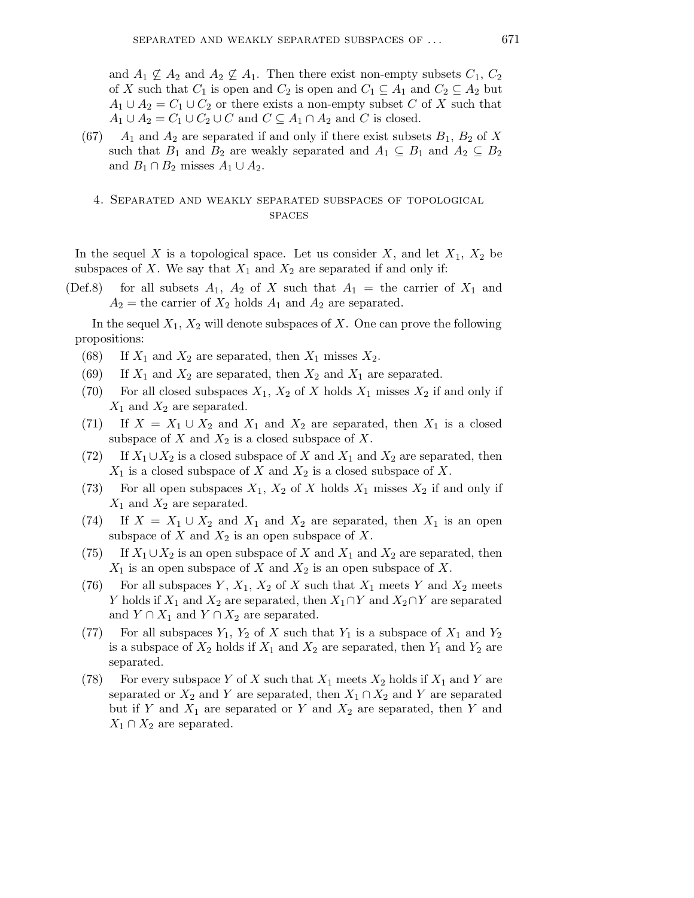and  $A_1 \nsubseteq A_2$  and  $A_2 \nsubseteq A_1$ . Then there exist non-empty subsets  $C_1, C_2$ of X such that  $C_1$  is open and  $C_2$  is open and  $C_1 \subseteq A_1$  and  $C_2 \subseteq A_2$  but  $A_1 \cup A_2 = C_1 \cup C_2$  or there exists a non-empty subset C of X such that  $A_1 \cup A_2 = C_1 \cup C_2 \cup C$  and  $C \subseteq A_1 \cap A_2$  and C is closed.

 $(67)$  A<sub>1</sub> and A<sub>2</sub> are separated if and only if there exist subsets  $B_1$ ,  $B_2$  of X such that  $B_1$  and  $B_2$  are weakly separated and  $A_1 \subseteq B_1$  and  $A_2 \subseteq B_2$ and  $B_1 \cap B_2$  misses  $A_1 \cup A_2$ .

## 4. Separated and weakly separated subspaces of topological **SPACES**

In the sequel X is a topological space. Let us consider X, and let  $X_1, X_2$  be subspaces of X. We say that  $X_1$  and  $X_2$  are separated if and only if:

(Def.8) for all subsets  $A_1$ ,  $A_2$  of X such that  $A_1$  = the carrier of  $X_1$  and  $A_2$  = the carrier of  $X_2$  holds  $A_1$  and  $A_2$  are separated.

In the sequel  $X_1, X_2$  will denote subspaces of X. One can prove the following propositions:

- (68) If  $X_1$  and  $X_2$  are separated, then  $X_1$  misses  $X_2$ .
- (69) If  $X_1$  and  $X_2$  are separated, then  $X_2$  and  $X_1$  are separated.
- (70) For all closed subspaces  $X_1, X_2$  of X holds  $X_1$  misses  $X_2$  if and only if  $X_1$  and  $X_2$  are separated.
- (71) If  $X = X_1 \cup X_2$  and  $X_1$  and  $X_2$  are separated, then  $X_1$  is a closed subspace of  $X$  and  $X_2$  is a closed subspace of  $X$ .
- (72) If  $X_1 \cup X_2$  is a closed subspace of X and  $X_1$  and  $X_2$  are separated, then  $X_1$  is a closed subspace of X and  $X_2$  is a closed subspace of X.
- (73) For all open subspaces  $X_1$ ,  $X_2$  of X holds  $X_1$  misses  $X_2$  if and only if  $X_1$  and  $X_2$  are separated.
- (74) If  $X = X_1 \cup X_2$  and  $X_1$  and  $X_2$  are separated, then  $X_1$  is an open subspace of  $X$  and  $X_2$  is an open subspace of  $X$ .
- (75) If  $X_1 \cup X_2$  is an open subspace of X and  $X_1$  and  $X_2$  are separated, then  $X_1$  is an open subspace of X and  $X_2$  is an open subspace of X.
- (76) For all subspaces Y,  $X_1$ ,  $X_2$  of X such that  $X_1$  meets Y and  $X_2$  meets Y holds if  $X_1$  and  $X_2$  are separated, then  $X_1 \cap Y$  and  $X_2 \cap Y$  are separated and  $Y \cap X_1$  and  $Y \cap X_2$  are separated.
- (77) For all subspaces  $Y_1$ ,  $Y_2$  of X such that  $Y_1$  is a subspace of  $X_1$  and  $Y_2$ is a subspace of  $X_2$  holds if  $X_1$  and  $X_2$  are separated, then  $Y_1$  and  $Y_2$  are separated.
- (78) For every subspace Y of X such that  $X_1$  meets  $X_2$  holds if  $X_1$  and Y are separated or  $X_2$  and Y are separated, then  $X_1 \cap X_2$  and Y are separated but if Y and  $X_1$  are separated or Y and  $X_2$  are separated, then Y and  $X_1 \cap X_2$  are separated.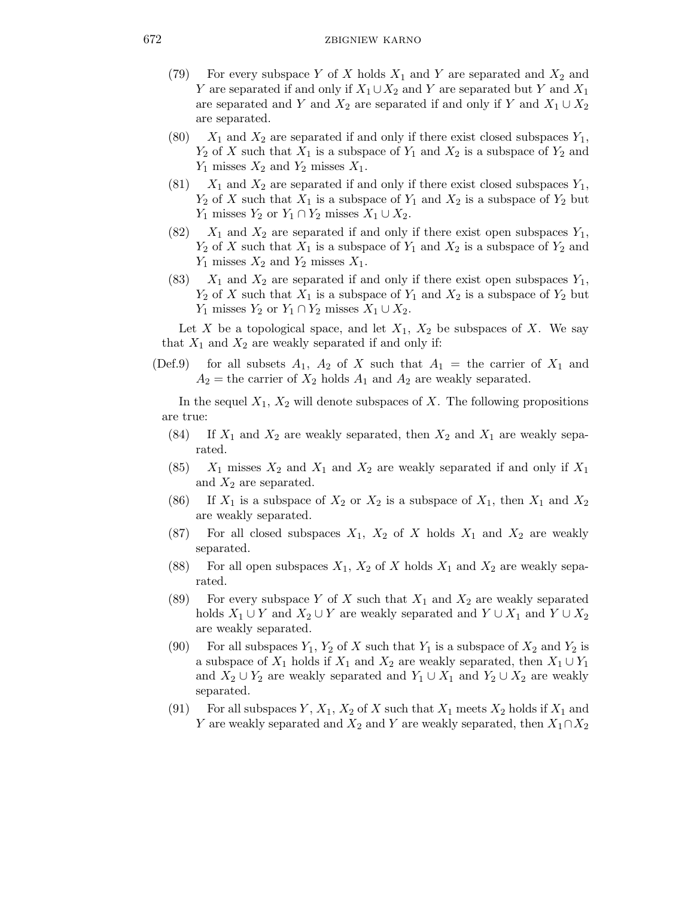- (79) For every subspace Y of X holds  $X_1$  and Y are separated and  $X_2$  and Y are separated if and only if  $X_1 \cup X_2$  and Y are separated but Y and  $X_1$ are separated and Y and  $X_2$  are separated if and only if Y and  $X_1 \cup X_2$ are separated.
- (80)  $X_1$  and  $X_2$  are separated if and only if there exist closed subspaces  $Y_1$ ,  $Y_2$  of X such that  $X_1$  is a subspace of  $Y_1$  and  $X_2$  is a subspace of  $Y_2$  and  $Y_1$  misses  $X_2$  and  $Y_2$  misses  $X_1$ .
- (81)  $X_1$  and  $X_2$  are separated if and only if there exist closed subspaces  $Y_1$ ,  $Y_2$  of X such that  $X_1$  is a subspace of  $Y_1$  and  $X_2$  is a subspace of  $Y_2$  but  $Y_1$  misses  $Y_2$  or  $Y_1 \cap Y_2$  misses  $X_1 \cup X_2$ .
- (82)  $X_1$  and  $X_2$  are separated if and only if there exist open subspaces  $Y_1$ ,  $Y_2$  of X such that  $X_1$  is a subspace of  $Y_1$  and  $X_2$  is a subspace of  $Y_2$  and  $Y_1$  misses  $X_2$  and  $Y_2$  misses  $X_1$ .
- (83)  $X_1$  and  $X_2$  are separated if and only if there exist open subspaces  $Y_1$ ,  $Y_2$  of X such that  $X_1$  is a subspace of  $Y_1$  and  $X_2$  is a subspace of  $Y_2$  but  $Y_1$  misses  $Y_2$  or  $Y_1 \cap Y_2$  misses  $X_1 \cup X_2$ .

Let X be a topological space, and let  $X_1, X_2$  be subspaces of X. We say that  $X_1$  and  $X_2$  are weakly separated if and only if:

(Def.9) for all subsets  $A_1$ ,  $A_2$  of X such that  $A_1 =$  the carrier of  $X_1$  and  $A_2$  = the carrier of  $X_2$  holds  $A_1$  and  $A_2$  are weakly separated.

In the sequel  $X_1, X_2$  will denote subspaces of X. The following propositions are true:

- (84) If  $X_1$  and  $X_2$  are weakly separated, then  $X_2$  and  $X_1$  are weakly separated.
- $(85)$  X<sub>1</sub> misses  $X_2$  and  $X_1$  and  $X_2$  are weakly separated if and only if  $X_1$ and  $X_2$  are separated.
- (86) If  $X_1$  is a subspace of  $X_2$  or  $X_2$  is a subspace of  $X_1$ , then  $X_1$  and  $X_2$ are weakly separated.
- (87) For all closed subspaces  $X_1$ ,  $X_2$  of X holds  $X_1$  and  $X_2$  are weakly separated.
- (88) For all open subspaces  $X_1$ ,  $X_2$  of X holds  $X_1$  and  $X_2$  are weakly separated.
- (89) For every subspace Y of X such that  $X_1$  and  $X_2$  are weakly separated holds  $X_1 \cup Y$  and  $X_2 \cup Y$  are weakly separated and  $Y \cup X_1$  and  $Y \cup X_2$ are weakly separated.
- (90) For all subspaces  $Y_1, Y_2$  of X such that  $Y_1$  is a subspace of  $X_2$  and  $Y_2$  is a subspace of  $X_1$  holds if  $X_1$  and  $X_2$  are weakly separated, then  $X_1 \cup Y_1$ and  $X_2 \cup Y_2$  are weakly separated and  $Y_1 \cup X_1$  and  $Y_2 \cup X_2$  are weakly separated.
- (91) For all subspaces Y,  $X_1, X_2$  of X such that  $X_1$  meets  $X_2$  holds if  $X_1$  and Y are weakly separated and  $X_2$  and Y are weakly separated, then  $X_1 \cap X_2$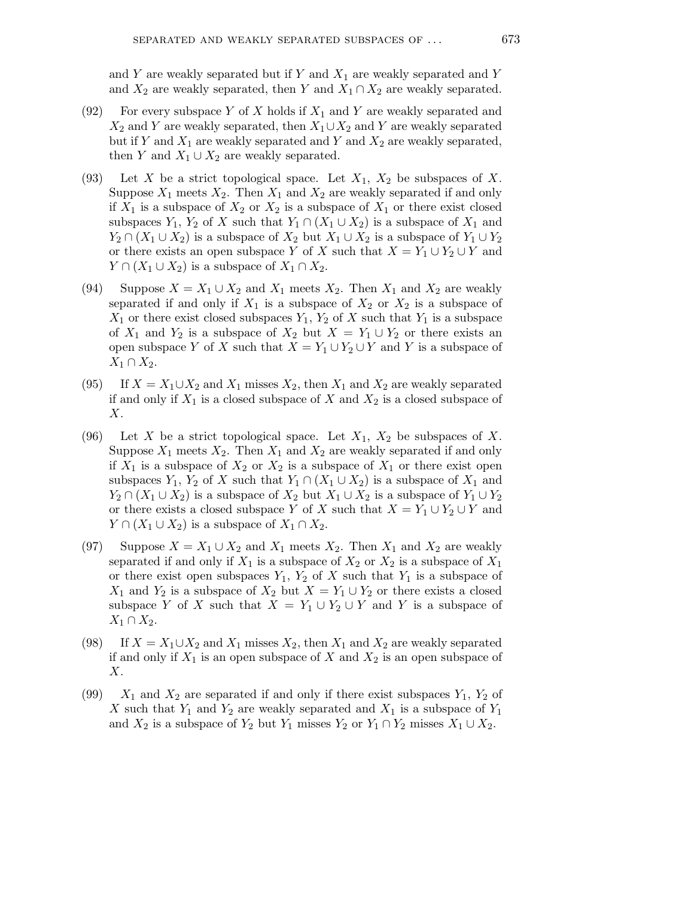and Y are weakly separated but if Y and  $X_1$  are weakly separated and Y and  $X_2$  are weakly separated, then Y and  $X_1 \cap X_2$  are weakly separated.

- (92) For every subspace Y of X holds if  $X_1$  and Y are weakly separated and  $X_2$  and Y are weakly separated, then  $X_1 \cup X_2$  and Y are weakly separated but if Y and  $X_1$  are weakly separated and Y and  $X_2$  are weakly separated, then Y and  $X_1 \cup X_2$  are weakly separated.
- (93) Let X be a strict topological space. Let  $X_1, X_2$  be subspaces of X. Suppose  $X_1$  meets  $X_2$ . Then  $X_1$  and  $X_2$  are weakly separated if and only if  $X_1$  is a subspace of  $X_2$  or  $X_2$  is a subspace of  $X_1$  or there exist closed subspaces  $Y_1$ ,  $Y_2$  of X such that  $Y_1 \cap (X_1 \cup X_2)$  is a subspace of  $X_1$  and  $Y_2 \cap (X_1 \cup X_2)$  is a subspace of  $X_2$  but  $X_1 \cup X_2$  is a subspace of  $Y_1 \cup Y_2$ or there exists an open subspace Y of X such that  $X = Y_1 \cup Y_2 \cup Y$  and  $Y \cap (X_1 \cup X_2)$  is a subspace of  $X_1 \cap X_2$ .
- (94) Suppose  $X = X_1 \cup X_2$  and  $X_1$  meets  $X_2$ . Then  $X_1$  and  $X_2$  are weakly separated if and only if  $X_1$  is a subspace of  $X_2$  or  $X_2$  is a subspace of  $X_1$  or there exist closed subspaces  $Y_1, Y_2$  of X such that  $Y_1$  is a subspace of  $X_1$  and  $Y_2$  is a subspace of  $X_2$  but  $X = Y_1 \cup Y_2$  or there exists an open subspace Y of X such that  $X = Y_1 \cup Y_2 \cup Y$  and Y is a subspace of  $X_1 \cap X_2$ .
- (95) If  $X = X_1 \cup X_2$  and  $X_1$  misses  $X_2$ , then  $X_1$  and  $X_2$  are weakly separated if and only if  $X_1$  is a closed subspace of X and  $X_2$  is a closed subspace of  $X$ .
- (96) Let X be a strict topological space. Let  $X_1, X_2$  be subspaces of X. Suppose  $X_1$  meets  $X_2$ . Then  $X_1$  and  $X_2$  are weakly separated if and only if  $X_1$  is a subspace of  $X_2$  or  $X_2$  is a subspace of  $X_1$  or there exist open subspaces  $Y_1$ ,  $Y_2$  of X such that  $Y_1 \cap (X_1 \cup X_2)$  is a subspace of  $X_1$  and  $Y_2 \cap (X_1 \cup X_2)$  is a subspace of  $X_2$  but  $X_1 \cup X_2$  is a subspace of  $Y_1 \cup Y_2$ or there exists a closed subspace Y of X such that  $X = Y_1 \cup Y_2 \cup Y$  and  $Y \cap (X_1 \cup X_2)$  is a subspace of  $X_1 \cap X_2$ .
- (97) Suppose  $X = X_1 \cup X_2$  and  $X_1$  meets  $X_2$ . Then  $X_1$  and  $X_2$  are weakly separated if and only if  $X_1$  is a subspace of  $X_2$  or  $X_2$  is a subspace of  $X_1$ or there exist open subspaces  $Y_1$ ,  $Y_2$  of X such that  $Y_1$  is a subspace of  $X_1$  and  $Y_2$  is a subspace of  $X_2$  but  $X = Y_1 \cup Y_2$  or there exists a closed subspace Y of X such that  $X = Y_1 \cup Y_2 \cup Y$  and Y is a subspace of  $X_1 \cap X_2$ .
- (98) If  $X = X_1 \cup X_2$  and  $X_1$  misses  $X_2$ , then  $X_1$  and  $X_2$  are weakly separated if and only if  $X_1$  is an open subspace of X and  $X_2$  is an open subspace of X.
- (99)  $X_1$  and  $X_2$  are separated if and only if there exist subspaces  $Y_1, Y_2$  of X such that  $Y_1$  and  $Y_2$  are weakly separated and  $X_1$  is a subspace of  $Y_1$ and  $X_2$  is a subspace of  $Y_2$  but  $Y_1$  misses  $Y_2$  or  $Y_1 \cap Y_2$  misses  $X_1 \cup X_2$ .